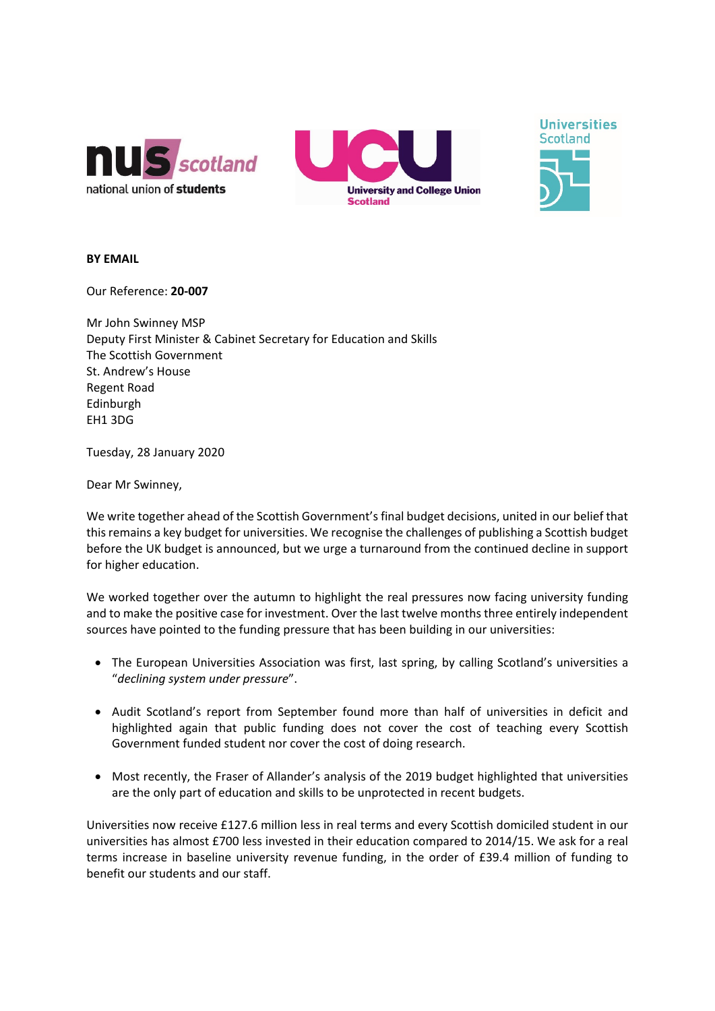





## **BY EMAIL**

Our Reference: **20-007**

Mr John Swinney MSP Deputy First Minister & Cabinet Secretary for Education and Skills The Scottish Government St. Andrew's House Regent Road Edinburgh EH1 3DG

Tuesday, 28 January 2020

Dear Mr Swinney,

We write together ahead of the Scottish Government's final budget decisions, united in our belief that this remains a key budget for universities. We recognise the challenges of publishing a Scottish budget before the UK budget is announced, but we urge a turnaround from the continued decline in support for higher education.

We worked together over the autumn to highlight the real pressures now facing university funding and to make the positive case for investment. Over the last twelve months three entirely independent sources have pointed to the funding pressure that has been building in our universities:

- The European Universities Association was first, last spring, by calling Scotland's universities a "*declining system under pressure*".
- Audit Scotland's report from September found more than half of universities in deficit and highlighted again that public funding does not cover the cost of teaching every Scottish Government funded student nor cover the cost of doing research.
- Most recently, the Fraser of Allander's analysis of the 2019 budget highlighted that universities are the only part of education and skills to be unprotected in recent budgets.

Universities now receive £127.6 million less in real terms and every Scottish domiciled student in our universities has almost £700 less invested in their education compared to 2014/15. We ask for a real terms increase in baseline university revenue funding, in the order of £39.4 million of funding to benefit our students and our staff.